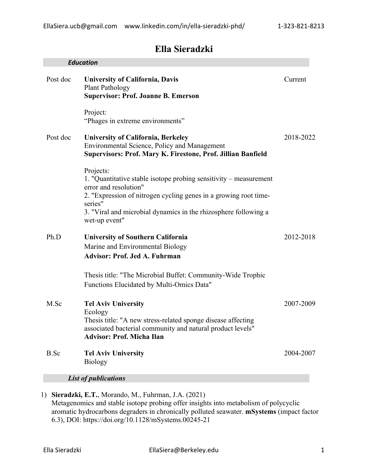# **Ella Sieradzki**

| <b>University of California, Davis</b><br>Current<br><b>Plant Pathology</b><br><b>Supervisor: Prof. Joanne B. Emerson</b><br>Project:<br>"Phages in extreme environments"<br>2018-2022<br><b>University of California, Berkeley</b><br>Environmental Science, Policy and Management<br>Supervisors: Prof. Mary K. Firestone, Prof. Jillian Banfield<br>Projects:<br>1. "Quantitative stable isotope probing sensitivity – measurement<br>error and resolution"<br>2. "Expression of nitrogen cycling genes in a growing root time-<br>series"<br>3. "Viral and microbial dynamics in the rhizosphere following a<br>wet-up event"<br><b>University of Southern California</b><br>Marine and Environmental Biology<br><b>Advisor: Prof. Jed A. Fuhrman</b><br>Thesis title: "The Microbial Buffet: Community-Wide Trophic<br>Functions Elucidated by Multi-Omics Data"<br><b>Tel Aviv University</b><br>Ecology<br>Thesis title: "A new stress-related sponge disease affecting<br>associated bacterial community and natural product levels"<br><b>Advisor: Prof. Micha Ilan</b><br><b>Tel Aviv University</b><br><b>Biology</b><br><b>List of publications</b><br>Sieradzki, E.T., Morando, M., Fuhrman, J.A. (2021) |             | <b>Education</b> |           |
|-----------------------------------------------------------------------------------------------------------------------------------------------------------------------------------------------------------------------------------------------------------------------------------------------------------------------------------------------------------------------------------------------------------------------------------------------------------------------------------------------------------------------------------------------------------------------------------------------------------------------------------------------------------------------------------------------------------------------------------------------------------------------------------------------------------------------------------------------------------------------------------------------------------------------------------------------------------------------------------------------------------------------------------------------------------------------------------------------------------------------------------------------------------------------------------------------------------------------|-------------|------------------|-----------|
|                                                                                                                                                                                                                                                                                                                                                                                                                                                                                                                                                                                                                                                                                                                                                                                                                                                                                                                                                                                                                                                                                                                                                                                                                       | Post doc    |                  |           |
|                                                                                                                                                                                                                                                                                                                                                                                                                                                                                                                                                                                                                                                                                                                                                                                                                                                                                                                                                                                                                                                                                                                                                                                                                       |             |                  |           |
|                                                                                                                                                                                                                                                                                                                                                                                                                                                                                                                                                                                                                                                                                                                                                                                                                                                                                                                                                                                                                                                                                                                                                                                                                       | Post doc    |                  |           |
| 2012-2018                                                                                                                                                                                                                                                                                                                                                                                                                                                                                                                                                                                                                                                                                                                                                                                                                                                                                                                                                                                                                                                                                                                                                                                                             |             |                  |           |
|                                                                                                                                                                                                                                                                                                                                                                                                                                                                                                                                                                                                                                                                                                                                                                                                                                                                                                                                                                                                                                                                                                                                                                                                                       | Ph.D        |                  |           |
|                                                                                                                                                                                                                                                                                                                                                                                                                                                                                                                                                                                                                                                                                                                                                                                                                                                                                                                                                                                                                                                                                                                                                                                                                       |             |                  |           |
|                                                                                                                                                                                                                                                                                                                                                                                                                                                                                                                                                                                                                                                                                                                                                                                                                                                                                                                                                                                                                                                                                                                                                                                                                       | M.Sc        |                  | 2007-2009 |
|                                                                                                                                                                                                                                                                                                                                                                                                                                                                                                                                                                                                                                                                                                                                                                                                                                                                                                                                                                                                                                                                                                                                                                                                                       | <b>B.Sc</b> |                  | 2004-2007 |
|                                                                                                                                                                                                                                                                                                                                                                                                                                                                                                                                                                                                                                                                                                                                                                                                                                                                                                                                                                                                                                                                                                                                                                                                                       |             |                  |           |
|                                                                                                                                                                                                                                                                                                                                                                                                                                                                                                                                                                                                                                                                                                                                                                                                                                                                                                                                                                                                                                                                                                                                                                                                                       | 1)          |                  |           |

Metagenomics and stable isotope probing offer insights into metabolism of polycyclic aromatic hydrocarbons degraders in chronically polluted seawater. **mSystems** (impact factor 6.3), DOI: https://doi.org/10.1128/mSystems.00245-21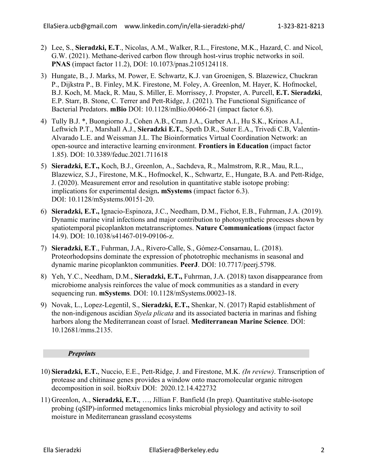- 2) Lee, S., **Sieradzki, E.T**., Nicolas, A.M., Walker, R.L., Firestone, M.K., Hazard, C. and Nicol, G.W. (2021). Methane-derived carbon flow through host-virus trophic networks in soil. **PNAS** (impact factor 11.2), DOI: 10.1073/pnas.2105124118.
- 3) Hungate, B., J. Marks, M. Power, E. Schwartz, K.J. van Groenigen, S. Blazewicz, Chuckran P., Dijkstra P., B. Finley, M.K. Firestone, M. Foley, A. Greenlon, M. Hayer, K. Hofmockel, B.J. Koch, M. Mack, R. Mau, S. Miller, E. Morrissey, J. Propster, A. Purcell, **E.T. Sieradzki**, E.P. Starr, B. Stone, C. Terrer and Pett-Ridge, J. (2021). The Functional Significance of Bacterial Predators. **mBio** DOI: 10.1128/mBio.00466-21 (impact factor 6.8).
- 4) Tully B.J. \*, Buongiorno J., Cohen A.B., Cram J.A., Garber A.I., Hu S.K., Krinos A.I., Leftwich P.T., Marshall A.J., **Sieradzki E.T.**, Speth D.R., Suter E.A., Trivedi C.B, Valentin-Alvarado L.E. and Weissman J.L. The Bioinformatics Virtual Coordination Network: an open-source and interactive learning environment. **Frontiers in Education** (impact factor 1.85). DOI: 10.3389/feduc.2021.711618
- 5) **Sieradzki, E.T.,** Koch, B.J., Greenlon, A., Sachdeva, R., Malmstrom, R.R., Mau, R.L., Blazewicz, S.J., Firestone, M.K., Hofmockel, K., Schwartz, E., Hungate, B.A. and Pett-Ridge, J. (2020). Measurement error and resolution in quantitative stable isotope probing: implications for experimental design**. mSystems** (impact factor 6.3). DOI: 10.1128/mSystems.00151-20.
- 6) **Sieradzki, E.T.,** Ignacio-Espinoza, J.C., Needham, D.M., Fichot, E.B., Fuhrman, J.A. (2019). Dynamic marine viral infections and major contribution to photosynthetic processes shown by spatiotemporal picoplankton metatranscriptomes. **Nature Communications** (impact factor 14.9). DOI: 10.1038/s41467-019-09106-z.
- 7) **Sieradzki, E.T**., Fuhrman, J.A., Rivero-Calle, S., Gómez-Consarnau, L. (2018). Proteorhodopsins dominate the expression of phototrophic mechanisms in seasonal and dynamic marine picoplankton communities. **PeerJ**. DOI: 10.7717/peerj.5798.
- 8) Yeh, Y.C., Needham, D.M., **Sieradzki, E.T.,** Fuhrman, J.A. (2018) taxon disappearance from microbiome analysis reinforces the value of mock communities as a standard in every sequencing run. **mSystems**. DOI: 10.1128/mSystems.00023-18.
- 9) Novak, L., Lopez-Legentil, S., **Sieradzki, E.T.,** Shenkar, N. (2017) Rapid establishment of the non-indigenous ascidian *Styela plicata* and its associated bacteria in marinas and fishing harbors along the Mediterranean coast of Israel. **Mediterranean Marine Science**. DOI: 10.12681/mms.2135.

## *Preprints*

- 10) **Sieradzki, E.T.**, Nuccio, E.E., Pett-Ridge, J. and Firestone, M.K. *(In review)*. Transcription of protease and chitinase genes provides a window onto macromolecular organic nitrogen decomposition in soil. bioRxiv DOI: 2020.12.14.422732
- 11) Greenlon, A., **Sieradzki, E.T.**, …, Jillian F. Banfield (In prep). Quantitative stable-isotope probing (qSIP)-informed metagenomics links microbial physiology and activity to soil moisture in Mediterranean grassland ecosystems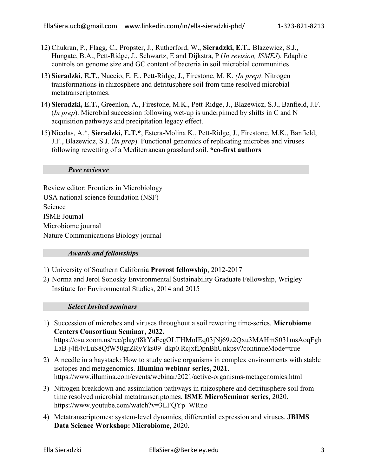- 12) Chukran, P., Flagg, C., Propster, J., Rutherford, W., **Sieradzki, E.T.**, Blazewicz, S.J., Hungate, B.A., Pett-Ridge, J., Schwartz, E and Dijkstra, P (*In revision, ISMEJ*). Edaphic controls on genome size and GC content of bacteria in soil microbial communities.
- 13) **Sieradzki, E.T.**, Nuccio, E. E., Pett-Ridge, J., Firestone, M. K. *(In prep)*. Nitrogen transformations in rhizosphere and detritusphere soil from time resolved microbial metatranscriptomes.
- 14) **Sieradzki, E.T.**, Greenlon, A., Firestone, M.K., Pett-Ridge, J., Blazewicz, S.J., Banfield, J.F. (*In prep*). Microbial succession following wet-up is underpinned by shifts in C and N acquisition pathways and precipitation legacy effect.
- 15) Nicolas, A.\*, **Sieradzki, E.T.\***, Estera-Molina K., Pett-Ridge, J., Firestone, M.K., Banfield, J.F., Blazewicz, S.J. (*In prep*). Functional genomics of replicating microbes and viruses following rewetting of a Mediterranean grassland soil. **\*co-first authors**

#### *Peer reviewer*

Review editor: Frontiers in Microbiology USA national science foundation (NSF) Science ISME Journal Microbiome journal Nature Communications Biology journal

#### *Awards and fellowships*

- 1) University of Southern California **Provost fellowship**, 2012-2017
- 2) Norma and Jerol Sonosky Environmental Sustainability Graduate Fellowship, Wrigley Institute for Environmental Studies, 2014 and 2015

*Select Invited seminars*

- 1) Succession of microbes and viruses throughout a soil rewetting time-series. **Microbiome Centers Consortium Seminar, 2022.** https://osu.zoom.us/rec/play/f8kYaFcgOLTHMoIEq03jNj69z2Qxu3MAHmS031msAoqFgh LaB-j4fi4vLuS8QfW50grZRyYks09\_dkp0.RcjxfDpnBhUnkpsv?continueMode=true
- 2) A needle in a haystack: How to study active organisms in complex environments with stable isotopes and metagenomics. **Illumina webinar series, 2021**. https://www.illumina.com/events/webinar/2021/active-organisms-metagenomics.html
- 3) Nitrogen breakdown and assimilation pathways in rhizosphere and detritusphere soil from time resolved microbial metatranscriptomes. **ISME MicroSeminar series**, 2020. https://www.youtube.com/watch?v=3LFQYp\_WRno
- 4) Metatranscriptomes: system-level dynamics, differential expression and viruses. **JBIMS Data Science Workshop: Microbiome**, 2020.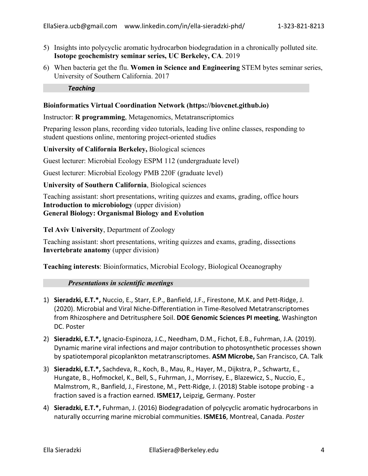- 5) Insights into polycyclic aromatic hydrocarbon biodegradation in a chronically polluted site. **Isotope geochemistry seminar series, UC Berkeley, CA**. 2019
- 6) When bacteria get the flu. **Women in Science and Engineering** STEM bytes seminar series, University of Southern California. 2017

*Teaching*

### **Bioinformatics Virtual Coordination Network (https://biovcnet.github.io)**

Instructor: **R programming**, Metagenomics, Metatranscriptomics

Preparing lesson plans, recording video tutorials, leading live online classes, responding to student questions online, mentoring project-oriented studies

**University of California Berkeley,** Biological sciences

Guest lecturer: Microbial Ecology ESPM 112 (undergraduate level)

Guest lecturer: Microbial Ecology PMB 220F (graduate level)

**University of Southern California**, Biological sciences

Teaching assistant: short presentations, writing quizzes and exams, grading, office hours **Introduction to microbiology** (upper division) **General Biology: Organismal Biology and Evolution**

**Tel Aviv University**, Department of Zoology

Teaching assistant: short presentations, writing quizzes and exams, grading, dissections **Invertebrate anatomy** (upper division)

**Teaching interests**: Bioinformatics, Microbial Ecology, Biological Oceanography

#### *Presentations in scientific meetings*

- 1) **Sieradzki, E.T.\*,** Nuccio, E., Starr, E.P., Banfield, J.F., Firestone, M.K. and Pett-Ridge, J. (2020). Microbial and Viral Niche-Differentiation in Time-Resolved Metatranscriptomes from Rhizosphere and Detritusphere Soil. **DOE Genomic Sciences PI meeting**, Washington DC. Poster
- 2) **Sieradzki, E.T.\*,** Ignacio-Espinoza, J.C., Needham, D.M., Fichot, E.B., Fuhrman, J.A. (2019). Dynamic marine viral infections and major contribution to photosynthetic processes shown by spatiotemporal picoplankton metatranscriptomes. **ASM Microbe,** San Francisco, CA. Talk
- 3) **Sieradzki, E.T.\*,** Sachdeva, R., Koch, B., Mau, R., Hayer, M., Dijkstra, P., Schwartz, E., Hungate, B., Hofmockel, K., Bell, S., Fuhrman, J., Morrisey, E., Blazewicz, S., Nuccio, E., Malmstrom, R., Banfield, J., Firestone, M., Pett-Ridge, J. (2018) Stable isotope probing - a fraction saved is a fraction earned. **ISME17,** Leipzig, Germany. Poster
- 4) **Sieradzki, E.T.\*,** Fuhrman, J. (2016) Biodegradation of polycyclic aromatic hydrocarbons in naturally occurring marine microbial communities. **ISME16**, Montreal, Canada. *Poster*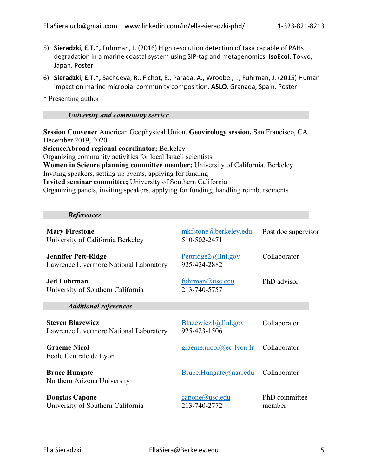- 5) **Sieradzki, E.T.\*,** Fuhrman, J. (2016) High resolution detection of taxa capable of PAHs degradation in a marine coastal system using SIP-tag and metagenomics. **IsoEcol**, Tokyo, Japan. Poster
- 6) **Sieradzki, E.T.\*,** Sachdeva, R., Fichot, E., Parada, A., Wroobel, I., Fuhrman, J. (2015) Human impact on marine microbial community composition. **ASLO**, Granada, Spain. Poster
- \* Presenting author

## *University and community service*

**Session Convener** American Geophysical Union, **Geovirology session.** San Francisco, CA, December 2019, 2020.

**ScienceAbroad regional coordinator;** Berkeley Organizing community activities for local Israeli scientists **Women in Science planning committee member;** University of California, Berkeley Inviting speakers, setting up events, applying for funding **Invited seminar committee;** University of Southern California Organizing panels, inviting speakers, applying for funding, handling reimbursements

#### *References*

| <b>Mary Firestone</b><br>University of California Berkeley           | mkfstone@berkeley.edu<br>510-502-2471 | Post doc supervisor     |
|----------------------------------------------------------------------|---------------------------------------|-------------------------|
| <b>Jennifer Pett-Ridge</b><br>Lawrence Livermore National Laboratory | Pettridge2@11n1.gov<br>925-424-2882   | Collaborator            |
| <b>Jed Fuhrman</b><br>University of Southern California              | fuhrman@usc.edu<br>213-740-5757       | PhD advisor             |
| <b>Additional references</b>                                         |                                       |                         |
| <b>Steven Blazewicz</b><br>Lawrence Livermore National Laboratory    | Blazewicz1@llnl.gov<br>925-423-1506   | Collaborator            |
| <b>Graeme Nicol</b><br>Ecole Centrale de Lyon                        | $graeme.nicol@ec-lyon.fr$             | Collaborator            |
| <b>Bruce Hungate</b><br>Northern Arizona University                  | Bruce.Hungate@nau.edu                 | Collaborator            |
| <b>Douglas Capone</b><br>University of Southern California           | capone@usc.edu<br>213-740-2772        | PhD committee<br>member |